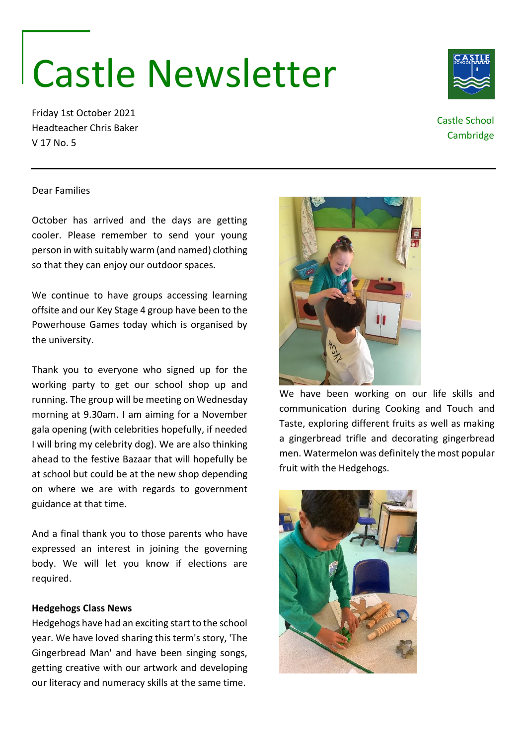# Castle Newsletter

Friday 1st October 2021 Headteacher Chris Baker V 17 No. 5

## Castle School **Cambridge**

### Dear Families

October has arrived and the days are getting cooler. Please remember to send your young person in with suitably warm (and named) clothing so that they can enjoy our outdoor spaces.

We continue to have groups accessing learning offsite and our Key Stage 4 group have been to the Powerhouse Games today which is organised by the university.

Thank you to everyone who signed up for the working party to get our school shop up and running. The group will be meeting on Wednesday morning at 9.30am. I am aiming for a November gala opening (with celebrities hopefully, if needed I will bring my celebrity dog). We are also thinking ahead to the festive Bazaar that will hopefully be at school but could be at the new shop depending on where we are with regards to government guidance at that time.

And a final thank you to those parents who have expressed an interest in joining the governing body. We will let you know if elections are required.

#### **Hedgehogs Class News**

Hedgehogs have had an exciting start to the school year. We have loved sharing this term's story, 'The Gingerbread Man' and have been singing songs, getting creative with our artwork and developing our literacy and numeracy skills at the same time.



communication during Cooking and Touch and Taste, exploring different fruits as well as making a gingerbread trifle and decorating gingerbread men. Watermelon was definitely the most popular fruit with the Hedgehogs.